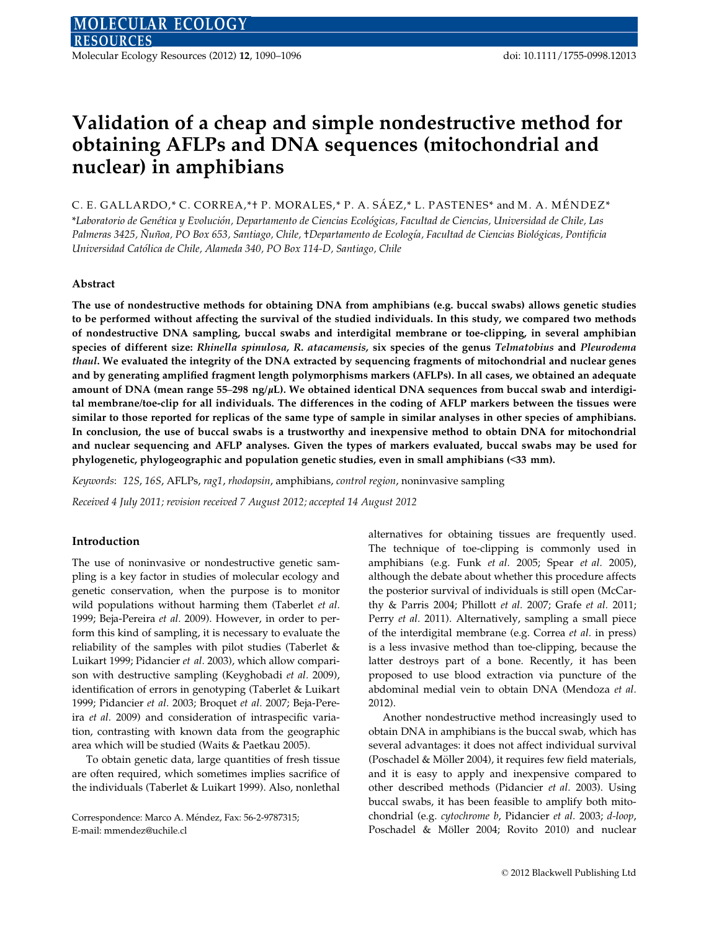Molecular Ecology Resources (2012) 12, 1090–1096 doi: 10.1111/1755-0998.12013

# Validation of a cheap and simple nondestructive method for obtaining AFLPs and DNA sequences (mitochondrial and nuclear) in amphibians

C. E. GALLARDO,\* C. CORREA,\*† P. MORALES,\* P. A. SÁEZ,\* L. PASTENES\* and M. A. MÉNDEZ\* \*Laboratorio de Genética y Evolución, Departamento de Ciencias Ecológicas, Facultad de Ciencias, Universidad de Chile, Las Palmeras 3425, Nuñoa, PO Box 653, Santiago, Chile, †Departamento de Ecología, Facultad de Ciencias Biológicas, Pontificia Universidad Católica de Chile, Alameda 340, PO Box 114-D, Santiago, Chile

## Abstract

The use of nondestructive methods for obtaining DNA from amphibians (e.g. buccal swabs) allows genetic studies to be performed without affecting the survival of the studied individuals. In this study, we compared two methods of nondestructive DNA sampling, buccal swabs and interdigital membrane or toe-clipping, in several amphibian species of different size: Rhinella spinulosa, R. atacamensis, six species of the genus Telmatobius and Pleurodema thaul. We evaluated the integrity of the DNA extracted by sequencing fragments of mitochondrial and nuclear genes and by generating amplified fragment length polymorphisms markers (AFLPs). In all cases, we obtained an adequate amount of DNA (mean range 55–298 ng/ $\mu$ L). We obtained identical DNA sequences from buccal swab and interdigital membrane/toe-clip for all individuals. The differences in the coding of AFLP markers between the tissues were similar to those reported for replicas of the same type of sample in similar analyses in other species of amphibians. In conclusion, the use of buccal swabs is a trustworthy and inexpensive method to obtain DNA for mitochondrial and nuclear sequencing and AFLP analyses. Given the types of markers evaluated, buccal swabs may be used for phylogenetic, phylogeographic and population genetic studies, even in small amphibians (<33 mm).

Keywords: 12S, 16S, AFLPs, rag1, rhodopsin, amphibians, control region, noninvasive sampling

Received 4 July 2011; revision received 7 August 2012; accepted 14 August 2012

#### Introduction

The use of noninvasive or nondestructive genetic sampling is a key factor in studies of molecular ecology and genetic conservation, when the purpose is to monitor wild populations without harming them (Taberlet et al. 1999; Beja-Pereira et al. 2009). However, in order to perform this kind of sampling, it is necessary to evaluate the reliability of the samples with pilot studies (Taberlet & Luikart 1999; Pidancier et al. 2003), which allow comparison with destructive sampling (Keyghobadi et al. 2009), identification of errors in genotyping (Taberlet & Luikart 1999; Pidancier et al. 2003; Broquet et al. 2007; Beja-Pereira et al. 2009) and consideration of intraspecific variation, contrasting with known data from the geographic area which will be studied (Waits & Paetkau 2005).

To obtain genetic data, large quantities of fresh tissue are often required, which sometimes implies sacrifice of the individuals (Taberlet & Luikart 1999). Also, nonlethal

Correspondence: Marco A. Méndez, Fax: 56-2-9787315; E-mail: mmendez@uchile.cl

alternatives for obtaining tissues are frequently used. The technique of toe-clipping is commonly used in amphibians (e.g. Funk et al. 2005; Spear et al. 2005), although the debate about whether this procedure affects the posterior survival of individuals is still open (McCarthy & Parris 2004; Phillott et al. 2007; Grafe et al. 2011; Perry et al. 2011). Alternatively, sampling a small piece of the interdigital membrane (e.g. Correa et al. in press) is a less invasive method than toe-clipping, because the latter destroys part of a bone. Recently, it has been proposed to use blood extraction via puncture of the abdominal medial vein to obtain DNA (Mendoza et al. 2012).

Another nondestructive method increasingly used to obtain DNA in amphibians is the buccal swab, which has several advantages: it does not affect individual survival (Poschadel & Möller 2004), it requires few field materials, and it is easy to apply and inexpensive compared to other described methods (Pidancier et al. 2003). Using buccal swabs, it has been feasible to amplify both mitochondrial (e.g. cytochrome b, Pidancier et al. 2003; d-loop, Poschadel & Möller 2004; Rovito 2010) and nuclear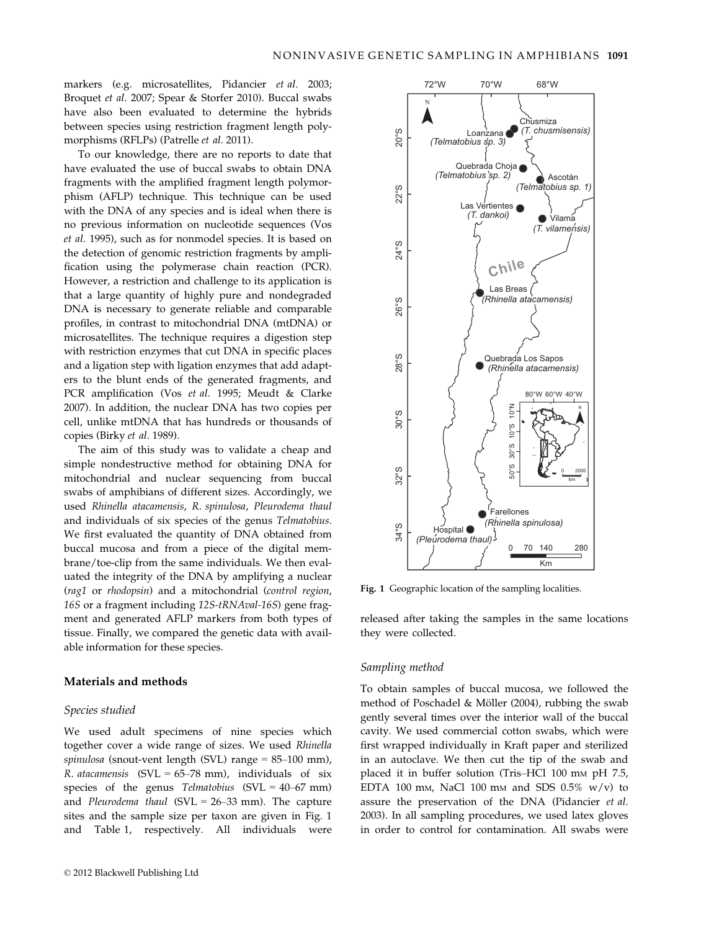markers (e.g. microsatellites, Pidancier et al. 2003; Broquet et al. 2007; Spear & Storfer 2010). Buccal swabs have also been evaluated to determine the hybrids between species using restriction fragment length polymorphisms (RFLPs) (Patrelle et al. 2011).

To our knowledge, there are no reports to date that have evaluated the use of buccal swabs to obtain DNA fragments with the amplified fragment length polymorphism (AFLP) technique. This technique can be used with the DNA of any species and is ideal when there is no previous information on nucleotide sequences (Vos et al. 1995), such as for nonmodel species. It is based on the detection of genomic restriction fragments by amplification using the polymerase chain reaction (PCR). However, a restriction and challenge to its application is that a large quantity of highly pure and nondegraded DNA is necessary to generate reliable and comparable profiles, in contrast to mitochondrial DNA (mtDNA) or microsatellites. The technique requires a digestion step with restriction enzymes that cut DNA in specific places and a ligation step with ligation enzymes that add adapters to the blunt ends of the generated fragments, and PCR amplification (Vos et al. 1995; Meudt & Clarke 2007). In addition, the nuclear DNA has two copies per cell, unlike mtDNA that has hundreds or thousands of copies (Birky et al. 1989).

The aim of this study was to validate a cheap and simple nondestructive method for obtaining DNA for mitochondrial and nuclear sequencing from buccal swabs of amphibians of different sizes. Accordingly, we used Rhinella atacamensis, R. spinulosa, Pleurodema thaul and individuals of six species of the genus Telmatobius. We first evaluated the quantity of DNA obtained from buccal mucosa and from a piece of the digital membrane/toe-clip from the same individuals. We then evaluated the integrity of the DNA by amplifying a nuclear (rag1 or rhodopsin) and a mitochondrial (control region, 16S or a fragment including 12S-tRNAval-16S) gene fragment and generated AFLP markers from both types of tissue. Finally, we compared the genetic data with available information for these species.

## Materials and methods

#### Species studied

We used adult specimens of nine species which together cover a wide range of sizes. We used Rhinella spinulosa (snout-vent length (SVL) range = 85–100 mm), R. atacamensis  $(SVL = 65–78$  mm), individuals of six species of the genus Telmatobius (SVL =  $40-67$  mm) and Pleurodema thaul (SVL =  $26-33$  mm). The capture sites and the sample size per taxon are given in Fig. 1 and Table 1, respectively. All individuals were



Fig. 1 Geographic location of the sampling localities.

released after taking the samples in the same locations they were collected.

## Sampling method

To obtain samples of buccal mucosa, we followed the method of Poschadel & Möller (2004), rubbing the swab gently several times over the interior wall of the buccal cavity. We used commercial cotton swabs, which were first wrapped individually in Kraft paper and sterilized in an autoclave. We then cut the tip of the swab and placed it in buffer solution (Tris–HCl 100 mm pH 7.5, EDTA 100 mm, NaCl 100 mm and SDS  $0.5\%$  w/v) to assure the preservation of the DNA (Pidancier et al. 2003). In all sampling procedures, we used latex gloves in order to control for contamination. All swabs were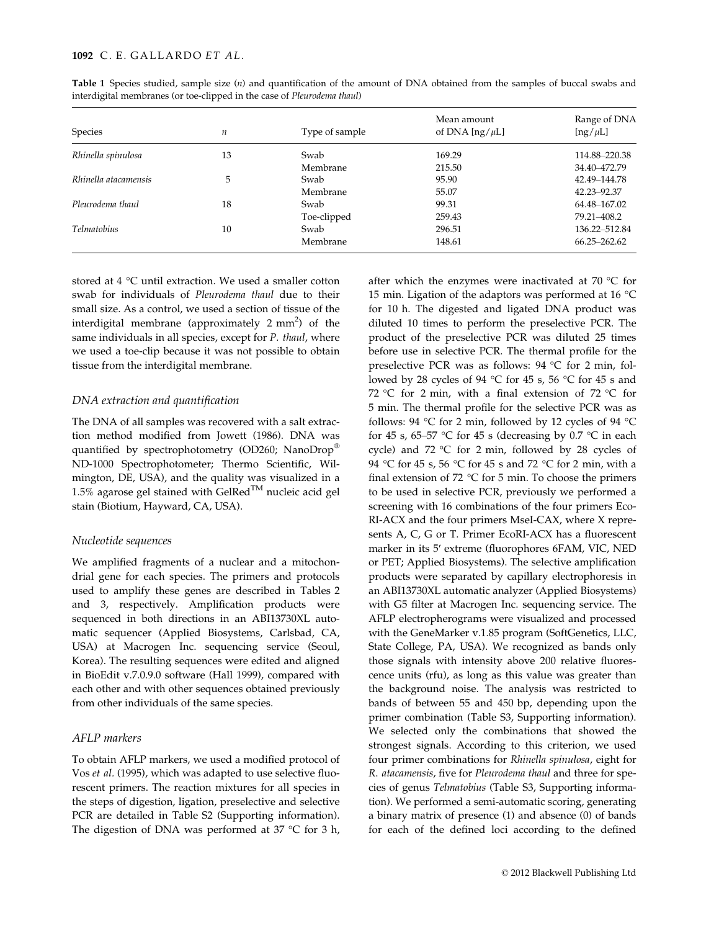| Species              | n  | Type of sample | Mean amount<br>of DNA $[ng/\mu L]$ | Range of DNA<br>$[ng/\mu L]$ |
|----------------------|----|----------------|------------------------------------|------------------------------|
| Rhinella spinulosa   | 13 | Swab           | 169.29                             | 114.88-220.38                |
|                      |    | Membrane       | 215.50                             | 34.40-472.79                 |
| Rhinella atacamensis | 5  | Swab           | 95.90                              | 42.49–144.78                 |
|                      |    | Membrane       | 55.07                              | 42.23 - 92.37                |
| Pleurodema thaul     | 18 | Swab           | 99.31                              | 64.48-167.02                 |
|                      |    | Toe-clipped    | 259.43                             | 79.21-408.2                  |
| <b>Telmatobius</b>   | 10 | Swab           | 296.51                             | 136.22-512.84                |
|                      |    | Membrane       | 148.61                             | 66.25 - 262.62               |

Table 1 Species studied, sample size (n) and quantification of the amount of DNA obtained from the samples of buccal swabs and interdigital membranes (or toe-clipped in the case of Pleurodema thaul)

stored at 4 °C until extraction. We used a smaller cotton swab for individuals of Pleurodema thaul due to their small size. As a control, we used a section of tissue of the interdigital membrane (approximately 2 mm<sup>2</sup>) of the same individuals in all species, except for P. thaul, where we used a toe-clip because it was not possible to obtain tissue from the interdigital membrane.

#### DNA extraction and quantification

The DNA of all samples was recovered with a salt extraction method modified from Jowett (1986). DNA was quantified by spectrophotometry (OD260; NanoDrop<sup>®</sup> ND-1000 Spectrophotometer; Thermo Scientific, Wilmington, DE, USA), and the quality was visualized in a  $1.5\%$  agarose gel stained with GelRed<sup>TM</sup> nucleic acid gel stain (Biotium, Hayward, CA, USA).

## Nucleotide sequences

We amplified fragments of a nuclear and a mitochondrial gene for each species. The primers and protocols used to amplify these genes are described in Tables 2 and 3, respectively. Amplification products were sequenced in both directions in an ABI13730XL automatic sequencer (Applied Biosystems, Carlsbad, CA, USA) at Macrogen Inc. sequencing service (Seoul, Korea). The resulting sequences were edited and aligned in BioEdit v.7.0.9.0 software (Hall 1999), compared with each other and with other sequences obtained previously from other individuals of the same species.

# AFLP markers

To obtain AFLP markers, we used a modified protocol of Vos et al. (1995), which was adapted to use selective fluorescent primers. The reaction mixtures for all species in the steps of digestion, ligation, preselective and selective PCR are detailed in Table S2 (Supporting information). The digestion of DNA was performed at 37 °C for 3 h,

after which the enzymes were inactivated at 70  $\degree$ C for 15 min. Ligation of the adaptors was performed at 16 °C for 10 h. The digested and ligated DNA product was diluted 10 times to perform the preselective PCR. The product of the preselective PCR was diluted 25 times before use in selective PCR. The thermal profile for the preselective PCR was as follows: 94 °C for 2 min, followed by 28 cycles of 94 °C for 45 s, 56 °C for 45 s and 72 °C for 2 min, with a final extension of 72 °C for 5 min. The thermal profile for the selective PCR was as follows: 94 °C for 2 min, followed by 12 cycles of 94 °C for 45 s, 65–57 °C for 45 s (decreasing by 0.7 °C in each cycle) and  $72 °C$  for 2 min, followed by 28 cycles of 94 °C for 45 s, 56 °C for 45 s and 72 °C for 2 min, with a final extension of 72  $\degree$ C for 5 min. To choose the primers to be used in selective PCR, previously we performed a screening with 16 combinations of the four primers Eco-RI-ACX and the four primers MseI-CAX, where X represents A, C, G or T. Primer EcoRI-ACX has a fluorescent marker in its 5′ extreme (fluorophores 6FAM, VIC, NED or PET; Applied Biosystems). The selective amplification products were separated by capillary electrophoresis in an ABI13730XL automatic analyzer (Applied Biosystems) with G5 filter at Macrogen Inc. sequencing service. The AFLP electropherograms were visualized and processed with the GeneMarker v.1.85 program (SoftGenetics, LLC, State College, PA, USA). We recognized as bands only those signals with intensity above 200 relative fluorescence units (rfu), as long as this value was greater than the background noise. The analysis was restricted to bands of between 55 and 450 bp, depending upon the primer combination (Table S3, Supporting information). We selected only the combinations that showed the strongest signals. According to this criterion, we used four primer combinations for Rhinella spinulosa, eight for R. atacamensis, five for Pleurodema thaul and three for species of genus Telmatobius (Table S3, Supporting information). We performed a semi-automatic scoring, generating a binary matrix of presence (1) and absence (0) of bands for each of the defined loci according to the defined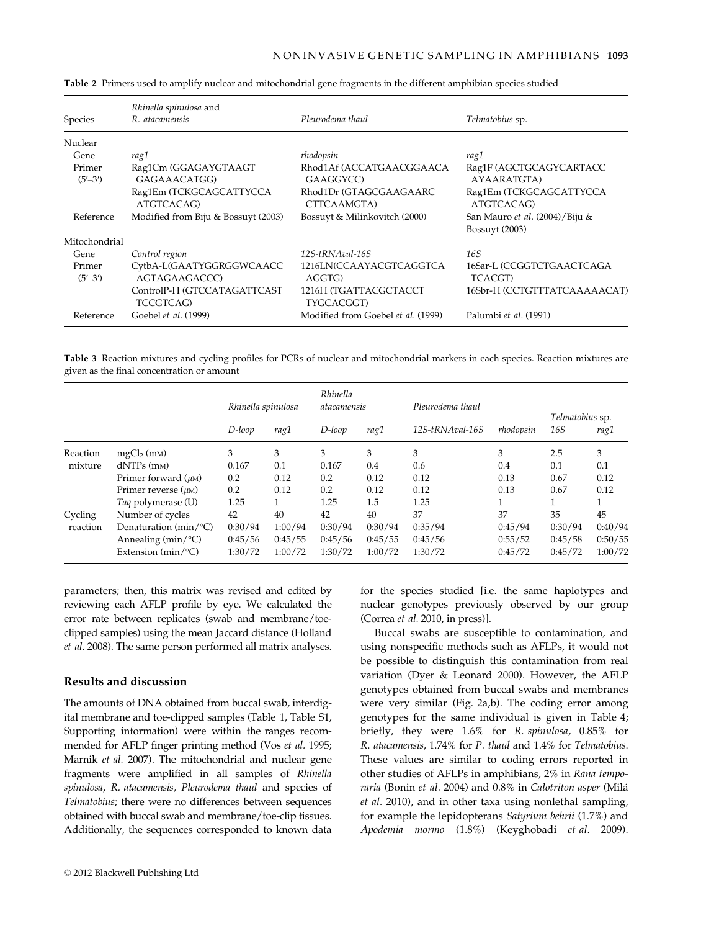| Species           | Rhinella spinulosa and<br>R. atacamensis  | Pleurodema thaul                      | Telmatobius sp.                                  |
|-------------------|-------------------------------------------|---------------------------------------|--------------------------------------------------|
| Nuclear           |                                           |                                       |                                                  |
| Gene              | rag1                                      | rhodopsin                             | rag1                                             |
| Primer<br>(5'–3') | Rag1Cm (GGAGAYGTAAGT<br>GAGAAACATGG)      | Rhod1Af (ACCATGAACGGAACA<br>GAAGGYCC) | Rag1F (AGCTGCAGYCARTACC<br>AYAARATGTA)           |
|                   | Rag1Em (TCKGCAGCATTYCCA<br>ATGTCACAG)     | Rhod1Dr (GTAGCGAAGAARC<br>CTTCAAMGTA) | Rag1Em (TCKGCAGCATTYCCA<br>ATGTCACAG)            |
| Reference         | Modified from Biju & Bossuyt (2003)       | Bossuyt & Milinkovitch (2000)         | San Mauro et al. (2004)/Biju &<br>Bossuyt (2003) |
| Mitochondrial     |                                           |                                       |                                                  |
| Gene              | Control region                            | $12S$ -tRNAval-16S                    | 16S                                              |
| Primer<br>(5'–3') | CytbA-L(GAATYGGRGGWCAACC<br>AGTAGAAGACCC) | 1216LN(CCAAYACGTCAGGTCA<br>AGGTG)     | 16Sar-L (CCGGTCTGAACTCAGA<br><b>TCACGT</b> )     |
|                   | ControlP-H (GTCCATAGATTCAST<br>TCCGTCAG)  | 1216H (TGATTACGCTACCT<br>TYGCACGGT)   | 16Sbr-H (CCTGTTTATCAAAAACAT)                     |
| Reference         | Goebel et al. (1999)                      | Modified from Goebel et al. (1999)    | Palumbi et al. (1991)                            |

Table 2 Primers used to amplify nuclear and mitochondrial gene fragments in the different amphibian species studied

Table 3 Reaction mixtures and cycling profiles for PCRs of nuclear and mitochondrial markers in each species. Reaction mixtures are given as the final concentration or amount

|                     |                               | Rhinella spinulosa |         | Rhinella<br>atacamensis |         | Pleurodema thaul   |           |                        |         |
|---------------------|-------------------------------|--------------------|---------|-------------------------|---------|--------------------|-----------|------------------------|---------|
|                     |                               | D-loop             | rag1    | D-loop                  | rag1    | $12S$ -tRNAval-16S | rhodopsin | Telmatobius sp.<br>16S | rag1    |
| Reaction<br>mixture | $mgCl2$ (m <sub>M</sub> )     | 3                  | 3       | 3                       | 3       | 3                  | 3         | 2.5                    | 3       |
|                     | $dNTPs$ (m <sub>M</sub> )     | 0.167              | 0.1     | 0.167                   | 0.4     | 0.6                | 0.4       | 0.1                    | 0.1     |
|                     | Primer forward $(\mu M)$      | 0.2                | 0.12    | 0.2                     | 0.12    | 0.12               | 0.13      | 0.67                   | 0.12    |
|                     | Primer reverse $(\mu M)$      | 0.2                | 0.12    | 0.2                     | 0.12    | 0.12               | 0.13      | 0.67                   | 0.12    |
|                     | Taq polymerase (U)            | 1.25               |         | 1.25                    | 1.5     | 1.25               |           |                        |         |
| Cycling<br>reaction | Number of cycles              | 42                 | 40      | 42                      | 40      | 37                 | 37        | 35                     | 45      |
|                     | Denaturation ( $min$ /°C)     | 0:30/94            | 1:00/94 | 0:30/94                 | 0:30/94 | 0:35/94            | 0:45/94   | 0:30/94                | 0:40/94 |
|                     | Annealing ( $min/$ °C)        | 0:45/56            | 0:45/55 | 0:45/56                 | 0:45/55 | 0:45/56            | 0:55/52   | 0:45/58                | 0:50/55 |
|                     | Extension $(min$ $\degree$ C) | 1:30/72            | 1:00/72 | 1:30/72                 | 1:00/72 | 1:30/72            | 0:45/72   | 0:45/72                | 1:00/72 |

parameters; then, this matrix was revised and edited by reviewing each AFLP profile by eye. We calculated the error rate between replicates (swab and membrane/toeclipped samples) using the mean Jaccard distance (Holland et al. 2008). The same person performed all matrix analyses.

# Results and discussion

The amounts of DNA obtained from buccal swab, interdigital membrane and toe-clipped samples (Table 1, Table S1, Supporting information) were within the ranges recommended for AFLP finger printing method (Vos et al. 1995; Marnik et al. 2007). The mitochondrial and nuclear gene fragments were amplified in all samples of Rhinella spinulosa, R. atacamensis, Pleurodema thaul and species of Telmatobius; there were no differences between sequences obtained with buccal swab and membrane/toe-clip tissues. Additionally, the sequences corresponded to known data

for the species studied [i.e. the same haplotypes and nuclear genotypes previously observed by our group (Correa et al. 2010, in press)].

Buccal swabs are susceptible to contamination, and using nonspecific methods such as AFLPs, it would not be possible to distinguish this contamination from real variation (Dyer & Leonard 2000). However, the AFLP genotypes obtained from buccal swabs and membranes were very similar (Fig. 2a,b). The coding error among genotypes for the same individual is given in Table 4; briefly, they were 1.6% for R. spinulosa, 0.85% for R. atacamensis, 1.74% for P. thaul and 1.4% for Telmatobius. These values are similar to coding errors reported in other studies of AFLPs in amphibians, 2% in Rana temporaria (Bonin et al. 2004) and 0.8% in Calotriton asper (Milá et al. 2010), and in other taxa using nonlethal sampling, for example the lepidopterans Satyrium behrii (1.7%) and Apodemia mormo (1.8%) (Keyghobadi et al. 2009).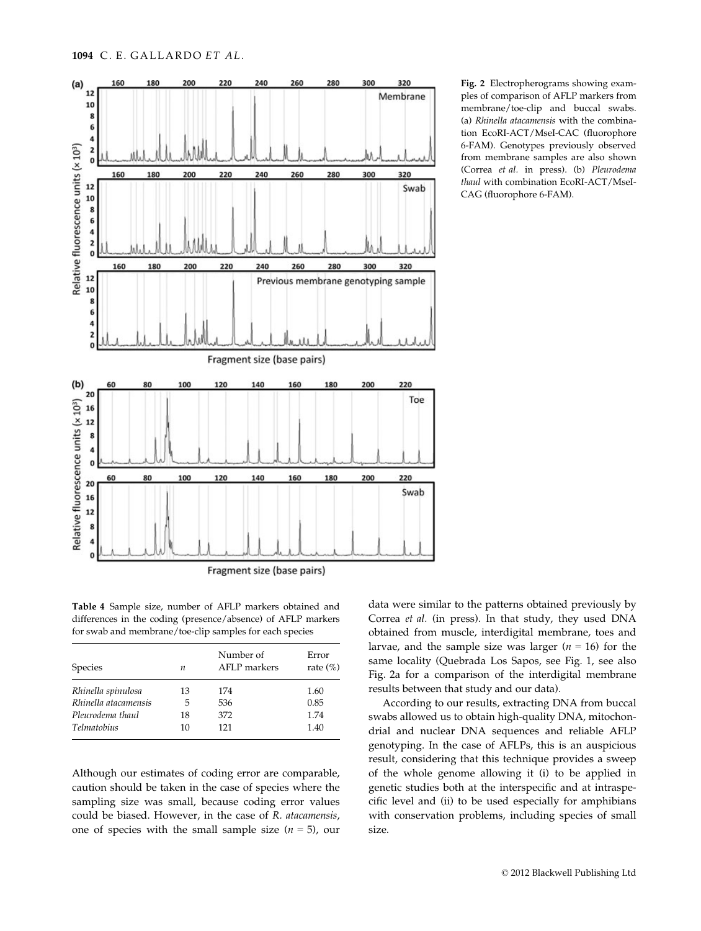

Fig. 2 Electropherograms showing examples of comparison of AFLP markers from membrane/toe-clip and buccal swabs. (a) Rhinella atacamensis with the combination EcoRI-ACT/MseI-CAC (fluorophore 6-FAM). Genotypes previously observed from membrane samples are also shown (Correa et al. in press). (b) Pleurodema thaul with combination EcoRI-ACT/MseI-CAG (fluorophore 6-FAM).

Table 4 Sample size, number of AFLP markers obtained and differences in the coding (presence/absence) of AFLP markers for swab and membrane/toe-clip samples for each species

| <b>Species</b>       | n  | Number of<br>AFLP markers | Error<br>rate $(\%)$ |
|----------------------|----|---------------------------|----------------------|
| Rhinella spinulosa   | 13 | 174                       | 1.60                 |
| Rhinella atacamensis | 5  | 536                       | 0.85                 |
| Pleurodema thaul     | 18 | 372                       | 1.74                 |
| <i>Telmatobius</i>   | 10 | 121                       | 1.40                 |

Although our estimates of coding error are comparable, caution should be taken in the case of species where the sampling size was small, because coding error values could be biased. However, in the case of R. atacamensis, one of species with the small sample size  $(n = 5)$ , our

data were similar to the patterns obtained previously by Correa et al. (in press). In that study, they used DNA obtained from muscle, interdigital membrane, toes and larvae, and the sample size was larger ( $n = 16$ ) for the same locality (Quebrada Los Sapos, see Fig. 1, see also Fig. 2a for a comparison of the interdigital membrane results between that study and our data).

According to our results, extracting DNA from buccal swabs allowed us to obtain high-quality DNA, mitochondrial and nuclear DNA sequences and reliable AFLP genotyping. In the case of AFLPs, this is an auspicious result, considering that this technique provides a sweep of the whole genome allowing it (i) to be applied in genetic studies both at the interspecific and at intraspecific level and (ii) to be used especially for amphibians with conservation problems, including species of small size.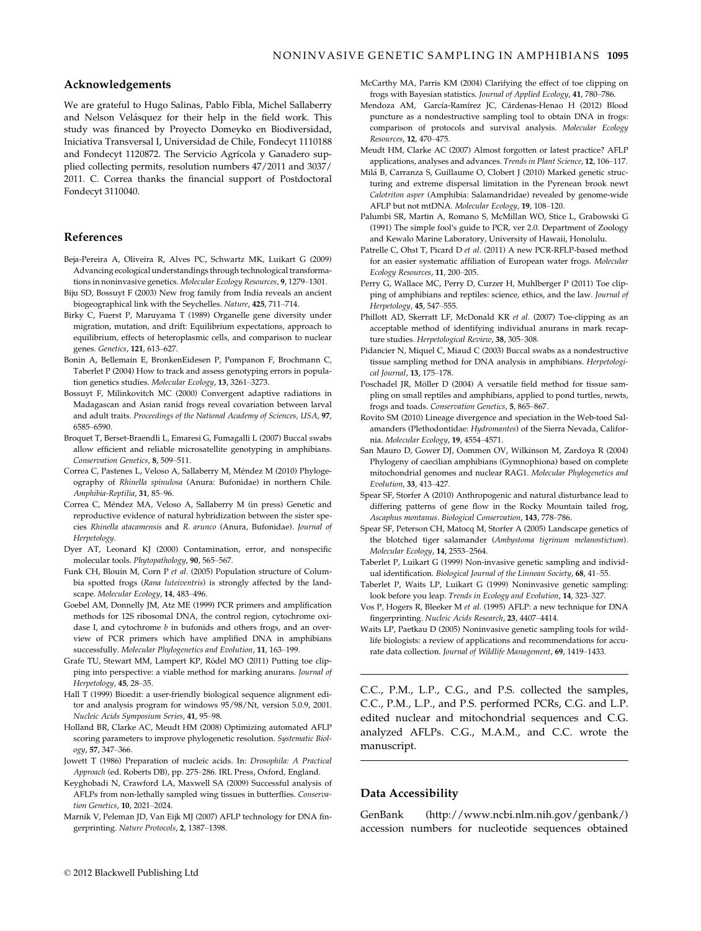# Acknowledgements

We are grateful to Hugo Salinas, Pablo Fibla, Michel Sallaberry and Nelson Velásquez for their help in the field work. This study was financed by Proyecto Domeyko en Biodiversidad, Iniciativa Transversal I, Universidad de Chile, Fondecyt 1110188 and Fondecyt 1120872. The Servicio Agrícola y Ganadero supplied collecting permits, resolution numbers 47/2011 and 3037/ 2011. C. Correa thanks the financial support of Postdoctoral Fondecyt 3110040.

#### References

- Beja-Pereira A, Oliveira R, Alves PC, Schwartz MK, Luikart G (2009) Advancing ecological understandings through technological transformations in noninvasive genetics. Molecular Ecology Resources, 9, 1279–1301.
- Biju SD, Bossuyt F (2003) New frog family from India reveals an ancient biogeographical link with the Seychelles. Nature, 425, 711–714.
- Birky C, Fuerst P, Maruyama T (1989) Organelle gene diversity under migration, mutation, and drift: Equilibrium expectations, approach to equilibrium, effects of heteroplasmic cells, and comparison to nuclear genes. Genetics, 121, 613–627.
- Bonin A, Bellemain E, BronkenEidesen P, Pompanon F, Brochmann C, Taberlet P (2004) How to track and assess genotyping errors in population genetics studies. Molecular Ecology, 13, 3261–3273.
- Bossuyt F, Milinkovitch MC (2000) Convergent adaptive radiations in Madagascan and Asian ranid frogs reveal covariation between larval and adult traits. Proceedings of the National Academy of Sciences, USA, 97, 6585–6590.
- Broquet T, Berset-Braendli L, Emaresi G, Fumagalli L (2007) Buccal swabs allow efficient and reliable microsatellite genotyping in amphibians. Conservation Genetics, 8, 509–511.
- Correa C, Pastenes L, Veloso A, Sallaberry M, Méndez M (2010) Phylogeography of Rhinella spinulosa (Anura: Bufonidae) in northern Chile. Amphibia-Reptilia, 31, 85–96.
- Correa C, Méndez MA, Veloso A, Sallaberry M (in press) Genetic and reproductive evidence of natural hybridization between the sister species Rhinella atacamensis and R. arunco (Anura, Bufonidae). Journal of Herpetology.
- Dyer AT, Leonard KJ (2000) Contamination, error, and nonspecific molecular tools. Phytopathology, 90, 565–567.
- Funk CH, Blouin M, Corn P et al. (2005) Population structure of Columbia spotted frogs (Rana luteiventris) is strongly affected by the landscape. Molecular Ecology, 14, 483–496.
- Goebel AM, Donnelly JM, Atz ME (1999) PCR primers and amplification methods for 12S ribosomal DNA, the control region, cytochrome oxidase I, and cytochrome *b* in bufonids and others frogs, and an overview of PCR primers which have amplified DNA in amphibians successfully. Molecular Phylogenetics and Evolution, 11, 163–199.
- Grafe TU, Stewart MM, Lampert KP, Rödel MO (2011) Putting toe clipping into perspective: a viable method for marking anurans. Journal of Herpetology, 45, 28–35.
- Hall T (1999) Bioedit: a user-friendly biological sequence alignment editor and analysis program for windows 95/98/Nt, version 5.0.9, 2001. Nucleic Acids Symposium Series, 41, 95–98.
- Holland BR, Clarke AC, Meudt HM (2008) Optimizing automated AFLP scoring parameters to improve phylogenetic resolution. Systematic Biology, 57, 347–366.
- Jowett T (1986) Preparation of nucleic acids. In: Drosophila: A Practical Approach (ed. Roberts DB), pp. 275–286. IRL Press, Oxford, England.
- Keyghobadi N, Crawford LA, Maxwell SA (2009) Successful analysis of AFLPs from non-lethally sampled wing tissues in butterflies. Conservation Genetics, 10, 2021–2024.
- Marnik V, Peleman JD, Van Eijk MJ (2007) AFLP technology for DNA fingerprinting. Nature Protocols, 2, 1387–1398.
- McCarthy MA, Parris KM (2004) Clarifying the effect of toe clipping on frogs with Bayesian statistics. Journal of Applied Ecology, 41, 780–786.
	- Mendoza AM, García-Ramírez JC, Cárdenas-Henao H (2012) Blood puncture as a nondestructive sampling tool to obtain DNA in frogs: comparison of protocols and survival analysis. Molecular Ecology Resources, 12, 470–475.
	- Meudt HM, Clarke AC (2007) Almost forgotten or latest practice? AFLP applications, analyses and advances. Trends in Plant Science, 12, 106–117.
	- Milá B, Carranza S, Guillaume O, Clobert J (2010) Marked genetic structuring and extreme dispersal limitation in the Pyrenean brook newt Calotriton asper (Amphibia: Salamandridae) revealed by genome-wide AFLP but not mtDNA. Molecular Ecology, 19, 108–120.
	- Palumbi SR, Martin A, Romano S, McMillan WO, Stice L, Grabowski G (1991) The simple fool′s guide to PCR, ver 2.0. Department of Zoology and Kewalo Marine Laboratory, University of Hawaii, Honolulu.
	- Patrelle C, Ohst T, Picard D et al. (2011) A new PCR-RFLP-based method for an easier systematic affiliation of European water frogs. Molecular Ecology Resources, 11, 200–205.
	- Perry G, Wallace MC, Perry D, Curzer H, Muhlberger P (2011) Toe clipping of amphibians and reptiles: science, ethics, and the law. Journal of Herpetology, 45, 547–555.
	- Phillott AD, Skerratt LF, McDonald KR et al. (2007) Toe-clipping as an acceptable method of identifying individual anurans in mark recapture studies. Herpetological Review, 38, 305–308.
	- Pidancier N, Miquel C, Miaud C (2003) Buccal swabs as a nondestructive tissue sampling method for DNA analysis in amphibians. Herpetological Journal, 13, 175–178.
	- Poschadel JR, Möller D (2004) A versatile field method for tissue sampling on small reptiles and amphibians, applied to pond turtles, newts, frogs and toads. Conservation Genetics, 5, 865–867.
	- Rovito SM (2010) Lineage divergence and speciation in the Web-toed Salamanders (Plethodontidae: Hydromantes) of the Sierra Nevada, California. Molecular Ecology, 19, 4554–4571.
	- San Mauro D, Gower DJ, Oommen OV, Wilkinson M, Zardoya R (2004) Phylogeny of caecilian amphibians (Gymnophiona) based on complete mitochondrial genomes and nuclear RAG1. Molecular Phylogenetics and Evolution, 33, 413–427.
	- Spear SF, Storfer A (2010) Anthropogenic and natural disturbance lead to differing patterns of gene flow in the Rocky Mountain tailed frog, Ascaphus montanus. Biological Conservation, 143, 778–786.
	- Spear SF, Peterson CH, Matocq M, Storfer A (2005) Landscape genetics of the blotched tiger salamander (Ambystoma tigrinum melanostictum). Molecular Ecology, 14, 2553–2564.
	- Taberlet P, Luikart G (1999) Non-invasive genetic sampling and individual identification. Biological Journal of the Linnean Society, 68, 41–55.
	- Taberlet P, Waits LP, Luikart G (1999) Noninvasive genetic sampling: look before you leap. Trends in Ecology and Evolution, 14, 323–327.
	- Vos P, Hogers R, Bleeker M et al. (1995) AFLP: a new technique for DNA fingerprinting. Nucleic Acids Research, 23, 4407–4414.
	- Waits LP, Paetkau D (2005) Noninvasive genetic sampling tools for wildlife biologists: a review of applications and recommendations for accurate data collection. Journal of Wildlife Management, 69, 1419–1433.

C.C., P.M., L.P., C.G., and P.S. collected the samples, C.C., P.M., L.P., and P.S. performed PCRs, C.G. and L.P. edited nuclear and mitochondrial sequences and C.G. analyzed AFLPs. C.G., M.A.M., and C.C. wrote the manuscript.

#### Data Accessibility

GenBank (http://www.ncbi.nlm.nih.gov/genbank/) accession numbers for nucleotide sequences obtained